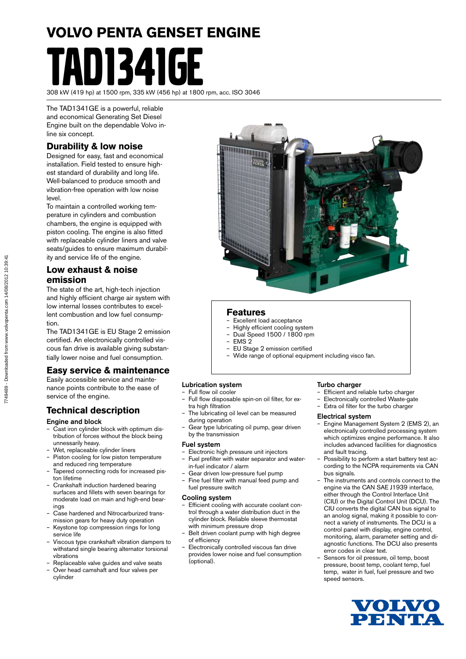# **VOLVO PENTA GENSET ENGINE N1341GF**

308 kW (419 hp) at 1500 rpm, 335 kW (456 hp) at 1800 rpm, acc. ISO 3046

The TAD1341GE is a powerful, reliable and economical Generating Set Diesel Engine built on the dependable Volvo inline six concept.

### **Durability & low noise**

Designed for easy, fast and economical installation. Field tested to ensure highest standard of durability and long life. Well-balanced to produce smooth and vibration-free operation with low noise level.

To maintain a controlled working temperature in cylinders and combustion chambers, the engine is equipped with piston cooling. The engine is also fitted with replaceable cylinder liners and valve seats/guides to ensure maximum durability and service life of the engine.

#### **Low exhaust & noise emission**

The state of the art, high-tech injection and highly efficient charge air system with low internal losses contributes to excellent combustion and low fuel consumption.

The TAD1341GE is EU Stage 2 emission certified. An electronically controlled viscous fan drive is available giving substantially lower noise and fuel consumption.

#### **Easy service & maintenance**

Easily accessible service and maintenance points contribute to the ease of service of the engine.

#### **Technical description**

#### Engine and block

- Cast iron cylinder block with optimum distribution of forces without the block being unnessarily heavy.
- Wet, replaceable cylinder liners
- Piston cooling for low piston temperature and reduced ring temperature
- Tapered connecting rods for increased piston lifetime
- Crankshaft induction hardened bearing surfaces and fillets with seven bearings for moderate load on main and high-end bearings
- Case hardened and Nitrocarburized transmission gears for heavy duty operation
- Keystone top compression rings for long service life
- Viscous type crankshaft vibration dampers to withstand single bearing alternator torsional vibrations
- Replaceable valve guides and valve seats – Over head camshaft and four valves per
- cylinder

#### **Features**

- Excellent load acceptance
- Highly efficient cooling system
- Dual Speed 1500 / 1800 rpm
- EMS 2 – EU Stage 2 emission certified
- Wide range of optional equipment including visco fan.

#### Lubrication system

#### – Full flow oil cooler

- Full flow disposable spin-on oil filter, for extra high filtration
- The lubricating oil level can be measured during operation
- Gear type lubricating oil pump, gear driven by the transmission

#### Fuel system

- Electronic high pressure unit injectors – Fuel prefilter with water separator and water
	- in-fuel indicator / alarm
- Gear driven low-pressure fuel pump
- Fine fuel filter with manual feed pump and fuel pressure switch

#### Cooling system

- Efficient cooling with accurate coolant control through a water distribution duct in the cylinder block. Reliable sleeve thermostat with minimum pressure drop
- Belt driven coolant pump with high degree of efficiency
- Electronically controlled viscous fan drive provides lower noise and fuel consumption (optional).

#### Turbo charger

- Efficient and reliable turbo charger
- Electronically controlled Waste-gate
- Extra oil filter for the turbo charger

#### Electrical system

- Engine Management System 2 (EMS 2), an electronically controlled processing system which optimizes engine performance. It also includes advanced facilities for diagnostics and fault tracing.
- Possibility to perform a start battery test according to the NCPA requirements via CAN bus signals.
- The instruments and controls connect to the engine via the CAN SAE J1939 interface, either through the Control Interface Unit (CIU) or the Digital Control Unit (DCU). The CIU converts the digital CAN bus signal to an anolog signal, making it possible to connect a variety of instruments. The DCU is a control panel with display, engine control, monitoring, alarm, parameter setting and diagnostic functions. The DCU also presents error codes in clear text.
- Sensors for oil pressure, oil temp, boost pressure, boost temp, coolant temp, fuel temp, water in fuel, fuel pressure and two speed sensors.